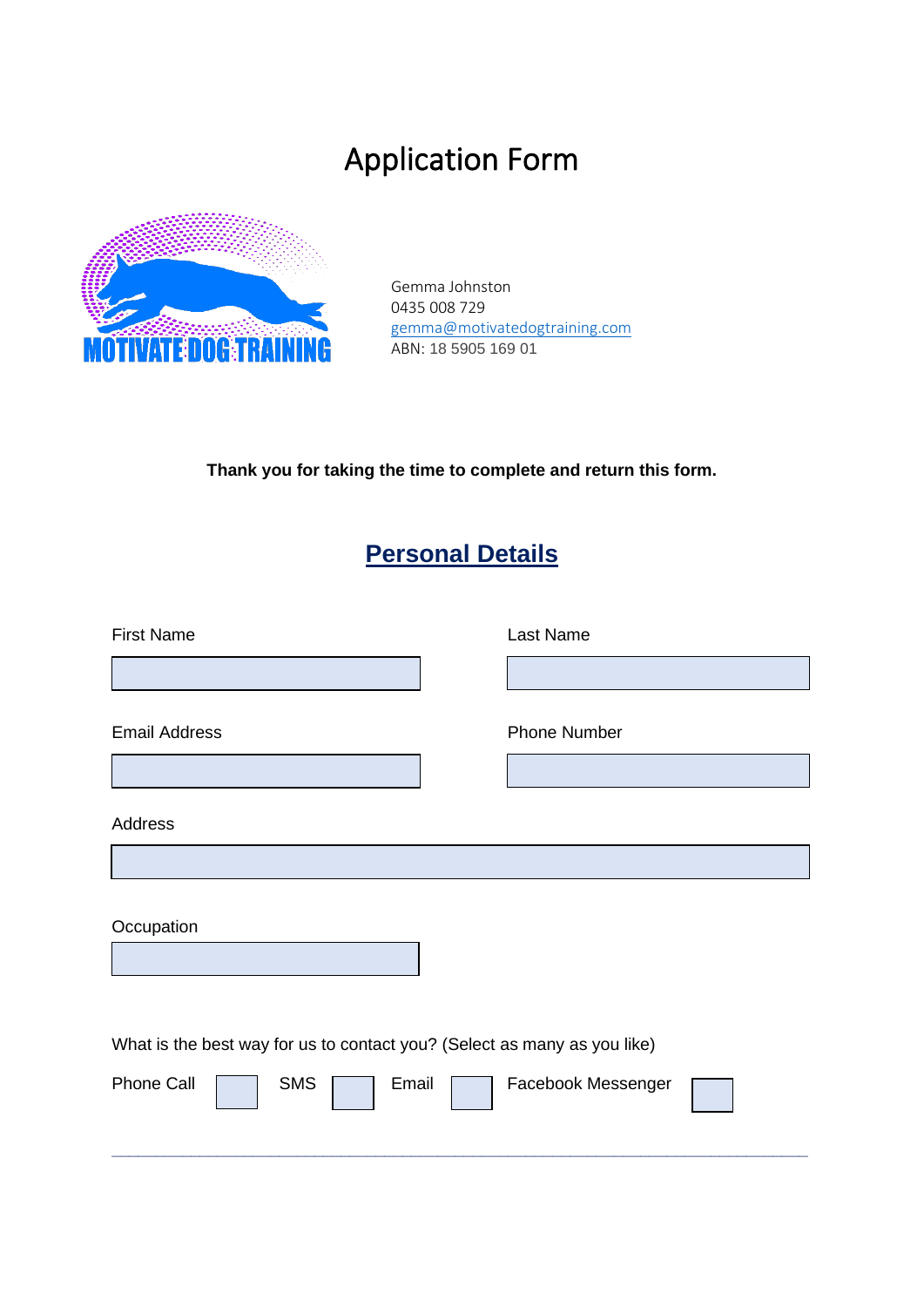# Application Form



Gemma Johnston 0435 008 729 [gemma@motivatedogtraining.com](mailto:gemma@motivatedogtraining.com) ABN: 18 5905 169 01

**Thank you for taking the time to complete and return this form.**

### **Personal Details**

| <b>First Name</b>                                                                                             | Last Name           |
|---------------------------------------------------------------------------------------------------------------|---------------------|
|                                                                                                               |                     |
| <b>Email Address</b>                                                                                          | <b>Phone Number</b> |
| <b>Address</b>                                                                                                |                     |
|                                                                                                               |                     |
| Occupation                                                                                                    |                     |
| What is the best way for us to contact you? (Select as many as you like)<br>Phone Call<br><b>SMS</b><br>Email | Facebook Messenger  |
|                                                                                                               |                     |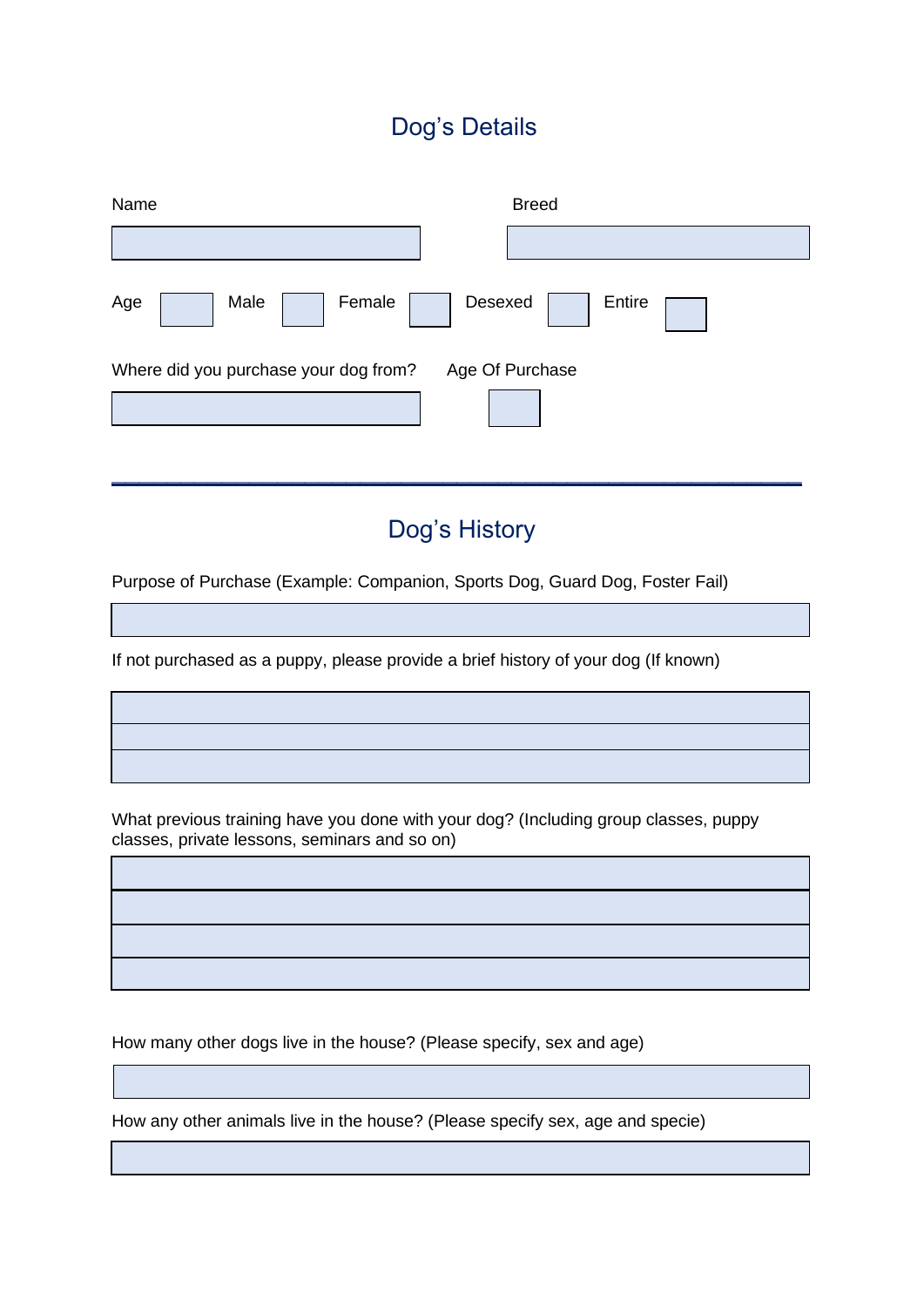#### Dog's Details

| Name                                  | <b>Breed</b>      |
|---------------------------------------|-------------------|
|                                       |                   |
| Age<br>Female<br>Male                 | Entire<br>Desexed |
| Where did you purchase your dog from? | Age Of Purchase   |
|                                       |                   |
|                                       |                   |

#### Dog's History

**\_\_\_\_\_\_\_\_\_\_\_\_\_\_\_\_\_\_\_\_\_\_\_\_\_\_\_\_\_\_\_\_\_\_\_\_\_\_\_\_\_\_\_\_\_\_\_\_\_\_**

Purpose of Purchase (Example: Companion, Sports Dog, Guard Dog, Foster Fail)

If not purchased as a puppy, please provide a brief history of your dog (If known)

What previous training have you done with your dog? (Including group classes, puppy classes, private lessons, seminars and so on)

How many other dogs live in the house? (Please specify, sex and age)

l

How any other animals live in the house? (Please specify sex, age and specie)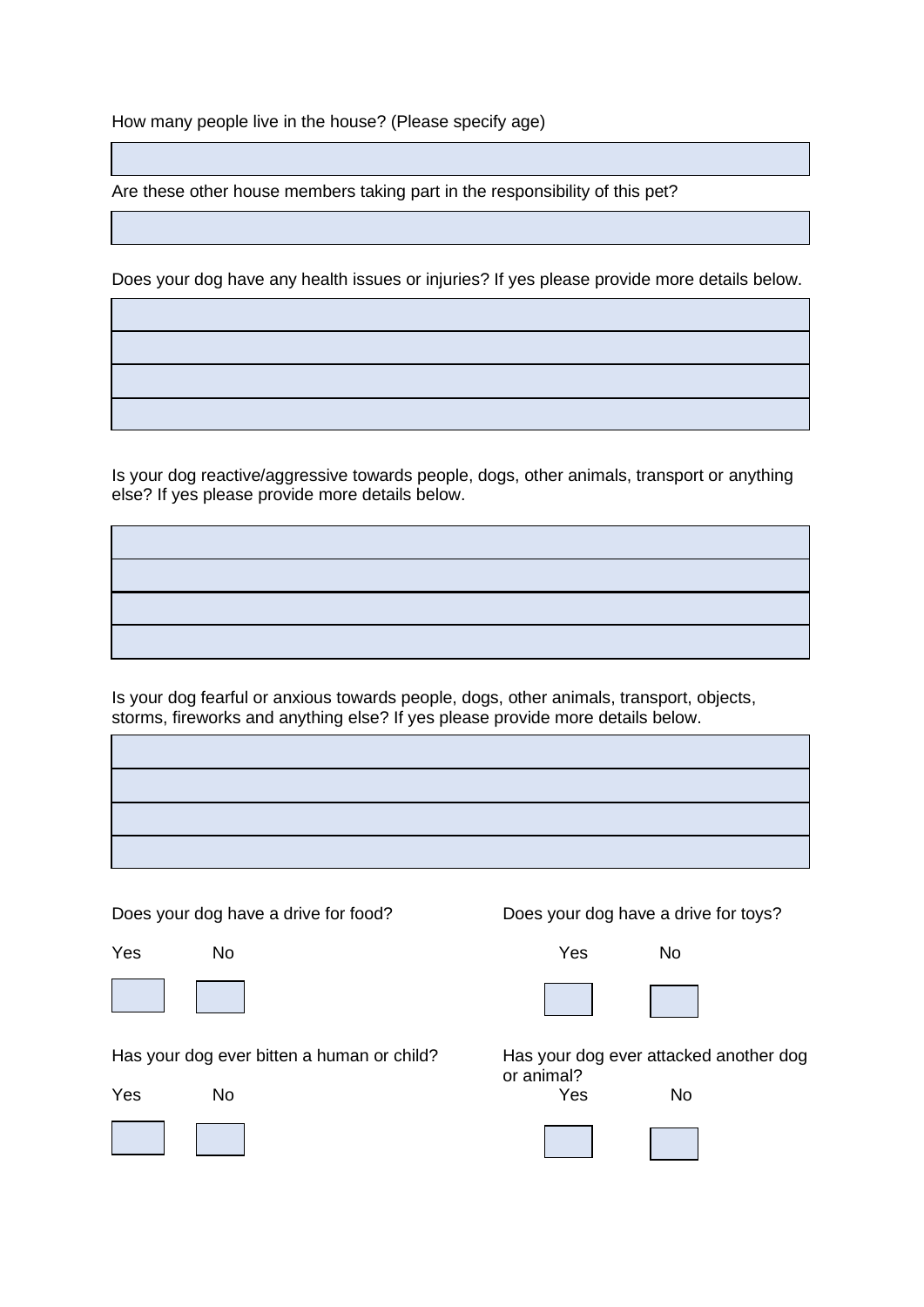How many people live in the house? (Please specify age)

Are these other house members taking part in the responsibility of this pet?

Does your dog have any health issues or injuries? If yes please provide more details below.

j

Is your dog reactive/aggressive towards people, dogs, other animals, transport or anything else? If yes please provide more details below.

Is your dog fearful or anxious towards people, dogs, other animals, transport, objects, storms, fireworks and anything else? If yes please provide more details below.

ī





Has your dog ever bitten a human or child? Has your dog ever attacked another dog

Yes No Yes No



Does your dog have a drive for food? Does your dog have a drive for toys?



or animal?

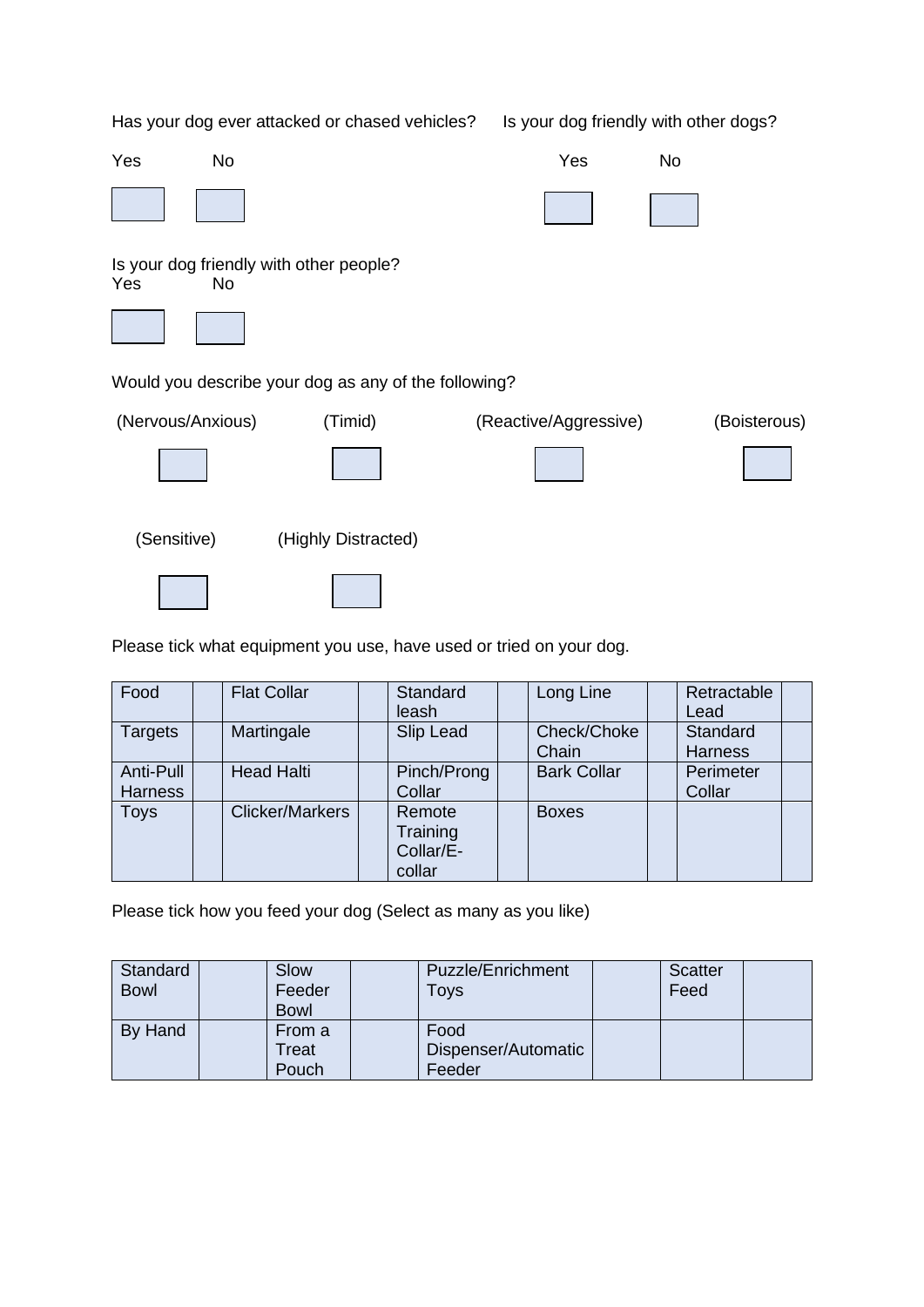Has your dog ever attacked or chased vehicles? Is your dog friendly with other dogs? Yes No Yes No Is your dog friendly with other people? Yes No Would you describe your dog as any of the following? (Nervous/Anxious) (Timid) (Reactive/Aggressive) (Boisterous) (Sensitive) (Highly Distracted)

Please tick what equipment you use, have used or tried on your dog.

| Food                        | <b>Flat Collar</b>     | Standard<br>leash                         | Long Line            | Retractable<br>Lead        |
|-----------------------------|------------------------|-------------------------------------------|----------------------|----------------------------|
| Targets                     | Martingale             | Slip Lead                                 | Check/Choke<br>Chain | Standard<br><b>Harness</b> |
| Anti-Pull<br><b>Harness</b> | <b>Head Halti</b>      | Pinch/Prong<br>Collar                     | <b>Bark Collar</b>   | Perimeter<br>Collar        |
| <b>Toys</b>                 | <b>Clicker/Markers</b> | Remote<br>Training<br>Collar/E-<br>collar | <b>Boxes</b>         |                            |

Please tick how you feed your dog (Select as many as you like)

| Standard<br><b>Bowl</b> | Slow<br>Feeder<br><b>Bowl</b> | <b>Puzzle/Enrichment</b><br>Toys      | <b>Scatter</b><br>Feed |  |
|-------------------------|-------------------------------|---------------------------------------|------------------------|--|
| By Hand                 | From a<br>Treat<br>Pouch      | Food<br>Dispenser/Automatic<br>Feeder |                        |  |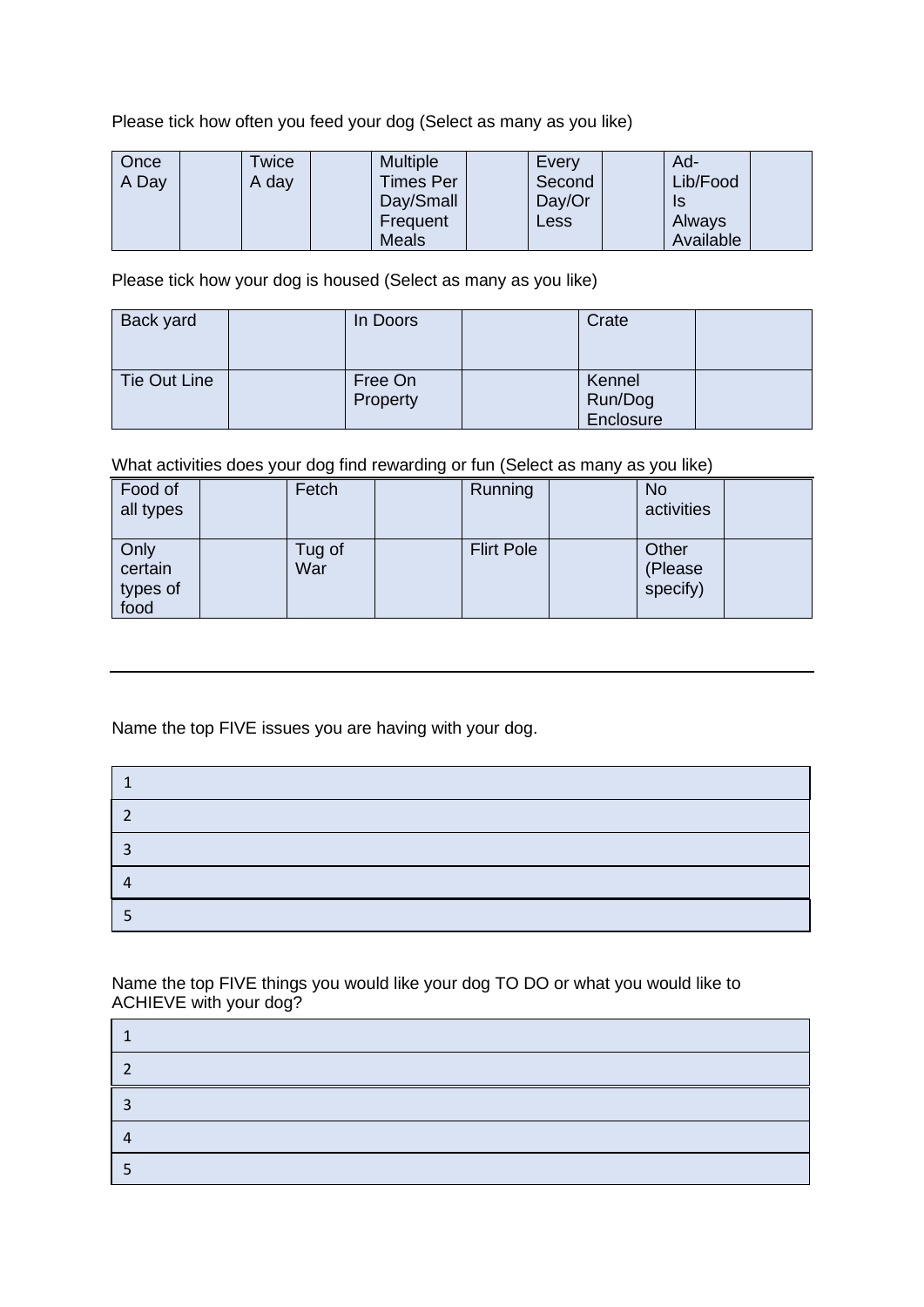Please tick how often you feed your dog (Select as many as you like)

| Once<br>A Day | Twice<br>A day | <b>Multiple</b><br><b>Times Per</b> | Every<br>Second | Ad-<br>Lib/Food |  |
|---------------|----------------|-------------------------------------|-----------------|-----------------|--|
|               |                | Day/Small                           | Day/Or          | IS              |  |
|               |                | Frequent                            | <b>Less</b>     | Always          |  |
|               |                | <b>Meals</b>                        |                 | Available       |  |

Please tick how your dog is housed (Select as many as you like)

| Back yard    | In Doors            | Crate                          |  |
|--------------|---------------------|--------------------------------|--|
| Tie Out Line | Free On<br>Property | Kennel<br>Run/Dog<br>Enclosure |  |

What activities does your dog find rewarding or fun (Select as many as you like)

| Food of<br>all types                | Fetch         | Running           | <b>No</b><br>activities      |  |
|-------------------------------------|---------------|-------------------|------------------------------|--|
| Only<br>certain<br>types of<br>food | Tug of<br>War | <b>Flirt Pole</b> | Other<br>(Please<br>specify) |  |

Name the top FIVE issues you are having with your dog.

| ר |  |
|---|--|
| ົ |  |
| 4 |  |
|   |  |

Name the top FIVE things you would like your dog TO DO or what you would like to ACHIEVE with your dog?

| ◠ |  |
|---|--|
| 2 |  |
|   |  |
|   |  |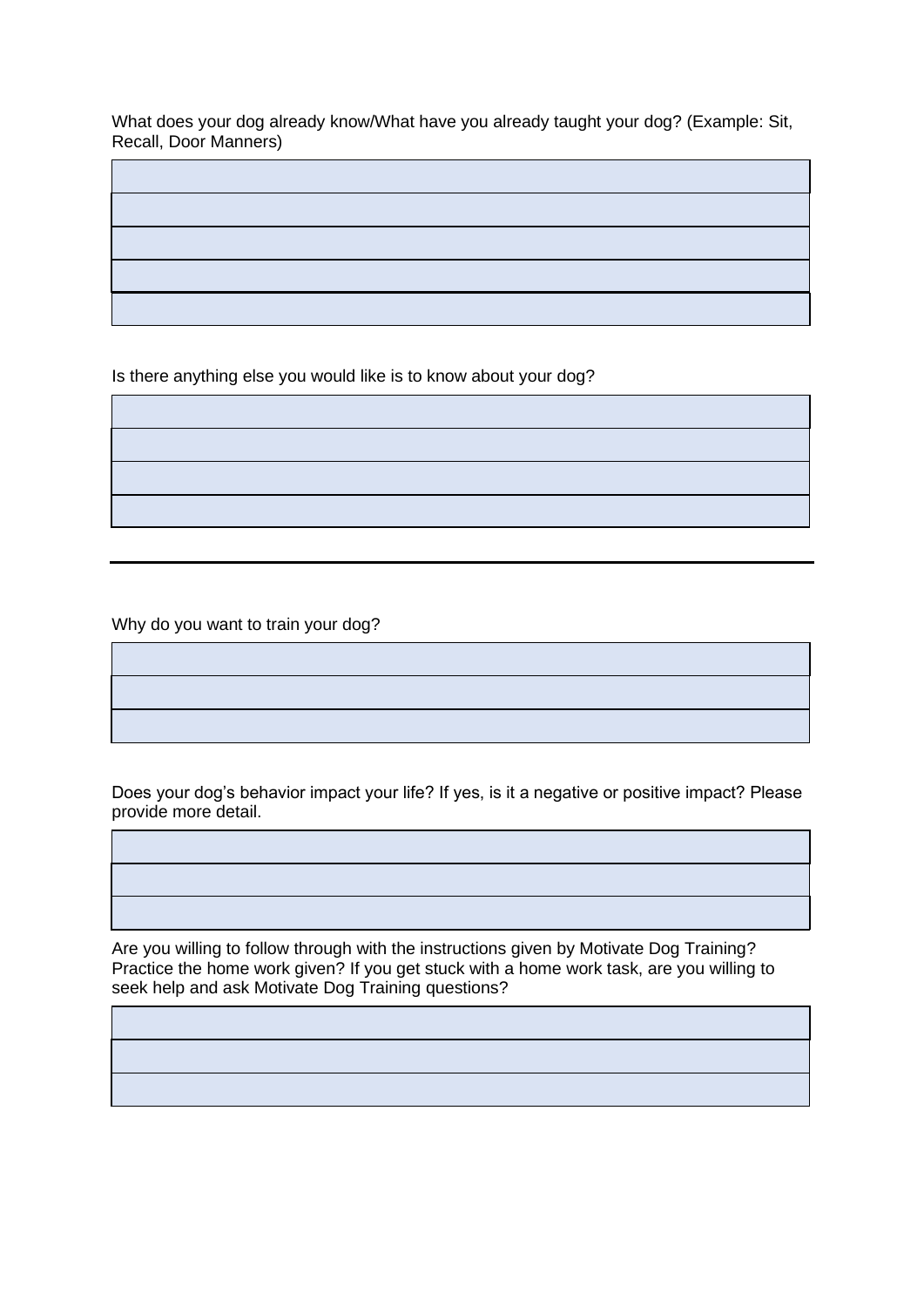What does your dog already know/What have you already taught your dog? (Example: Sit, Recall, Door Manners)

ī

j

j

j

j

Is there anything else you would like is to know about your dog?

Why do you want to train your dog?

Does your dog's behavior impact your life? If yes, is it a negative or positive impact? Please provide more detail.

Are you willing to follow through with the instructions given by Motivate Dog Training? Practice the home work given? If you get stuck with a home work task, are you willing to seek help and ask Motivate Dog Training questions?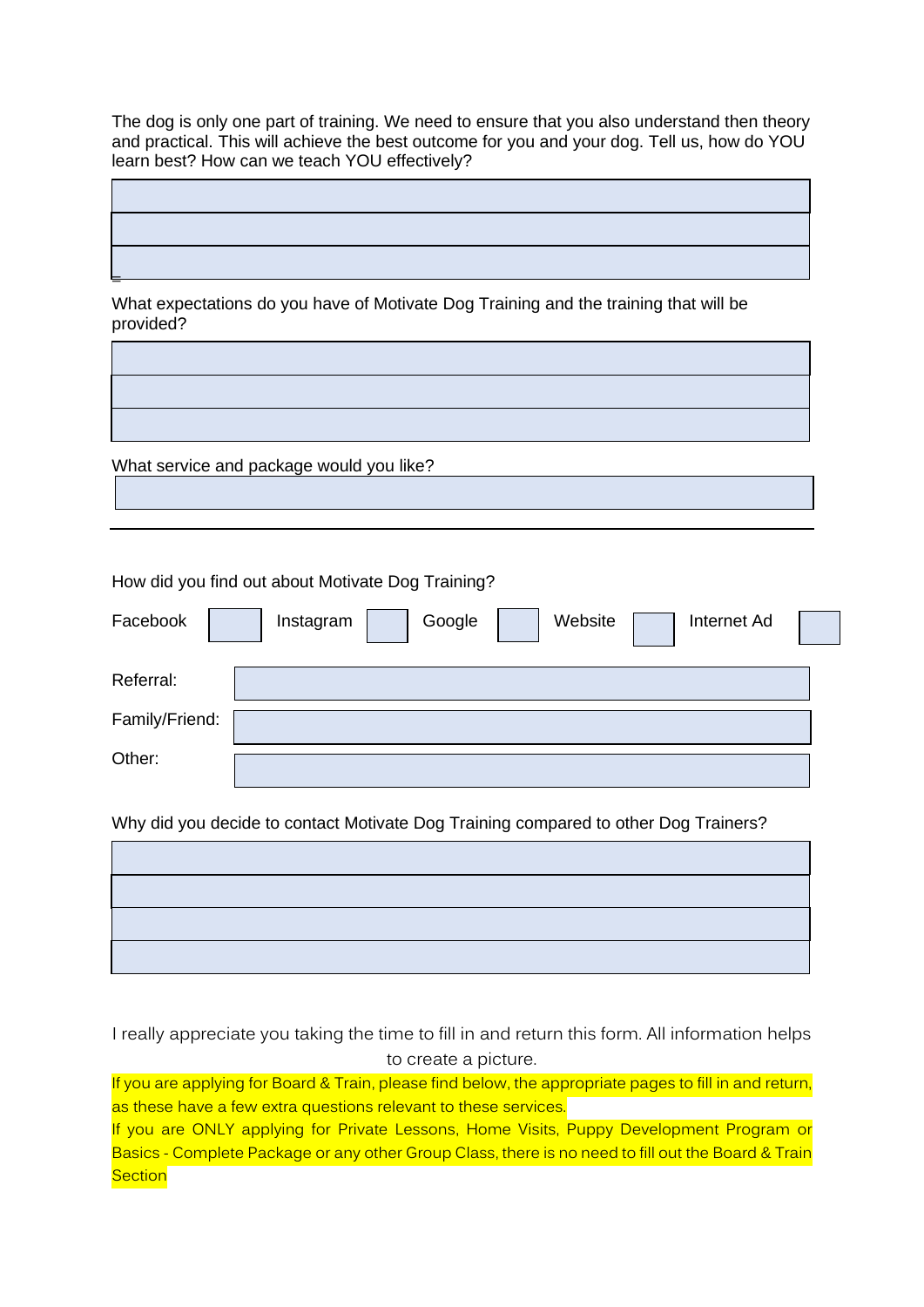The dog is only one part of training. We need to ensure that you also understand then theory and practical. This will achieve the best outcome for you and your dog. Tell us, how do YOU learn best? How can we teach YOU effectively?

j

I

What expectations do you have of Motivate Dog Training and the training that will be provided?

What service and package would you like?

=

How did you find out about Motivate Dog Training?

| Facebook       | Google<br>Website<br>Internet Ad<br>Instagram |  |
|----------------|-----------------------------------------------|--|
| Referral:      |                                               |  |
| Family/Friend: |                                               |  |
| Other:         |                                               |  |
|                |                                               |  |

Why did you decide to contact Motivate Dog Training compared to other Dog Trainers?

I really appreciate you taking the time to fill in and return this form. All information helps to create a picture.

If you are applying for Board & Train, please find below, the appropriate pages to fill in and return, as these have a few extra questions relevant to these services.

If you are ONLY applying for Private Lessons, Home Visits, Puppy Development Program or Basics - Complete Package or any other Group Class, there is no need to fill out the Board & Train **Section**